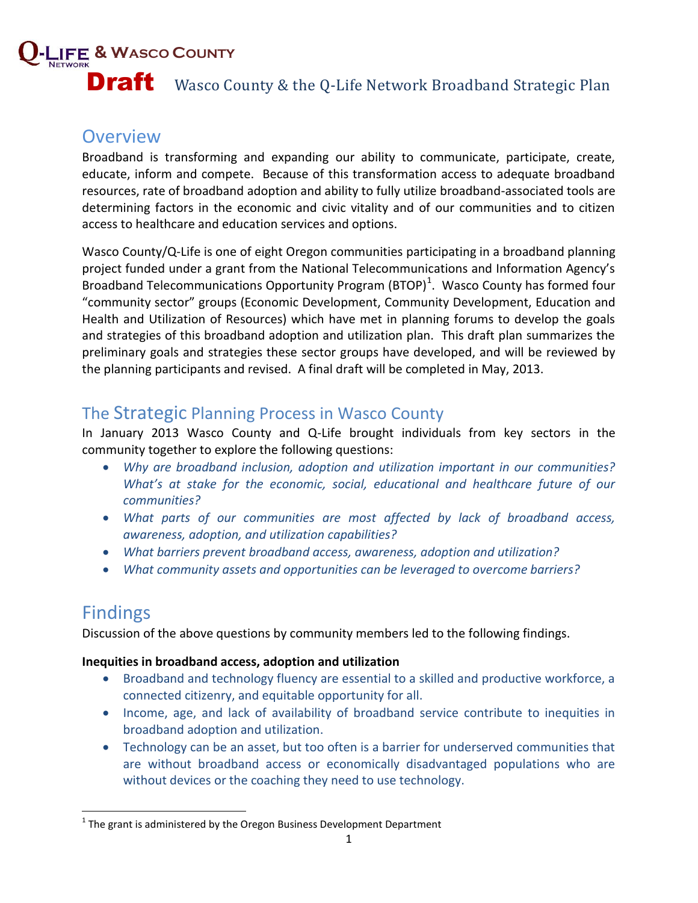# **& WASCO COUNTY Draft** Wasco County & the Q-Life Network Broadband Strategic Plan

## **Overview**

Broadband is transforming and expanding our ability to communicate, participate, create, educate, inform and compete. Because of this transformation access to adequate broadband resources, rate of broadband adoption and ability to fully utilize broadband-associated tools are determining factors in the economic and civic vitality and of our communities and to citizen access to healthcare and education services and options.

Wasco County/Q-Life is one of eight Oregon communities participating in a broadband planning project funded under a grant from the National Telecommunications and Information Agency's Broadband Telecommunications Opportunity Program (BTOP)<sup>1</sup>. Wasco County has formed four "community sector" groups (Economic Development, Community Development, Education and Health and Utilization of Resources) which have met in planning forums to develop the goals and strategies of this broadband adoption and utilization plan. This draft plan summarizes the preliminary goals and strategies these sector groups have developed, and will be reviewed by the planning participants and revised. A final draft will be completed in May, 2013.

### The Strategic Planning Process in Wasco County

In January 2013 Wasco County and Q-Life brought individuals from key sectors in the community together to explore the following questions:

- *Why are broadband inclusion, adoption and utilization important in our communities? What's at stake for the economic, social, educational and healthcare future of our communities?*
- *What parts of our communities are most affected by lack of broadband access, awareness, adoption, and utilization capabilities?*
- *What barriers prevent broadband access, awareness, adoption and utilization?*
- *What community assets and opportunities can be leveraged to overcome barriers?*

## Findings

l

Discussion of the above questions by community members led to the following findings.

#### **Inequities in broadband access, adoption and utilization**

- Broadband and technology fluency are essential to a skilled and productive workforce, a connected citizenry, and equitable opportunity for all.
- Income, age, and lack of availability of broadband service contribute to inequities in broadband adoption and utilization.
- Technology can be an asset, but too often is a barrier for underserved communities that are without broadband access or economically disadvantaged populations who are without devices or the coaching they need to use technology.

 $^1$  The grant is administered by the Oregon Business Development Department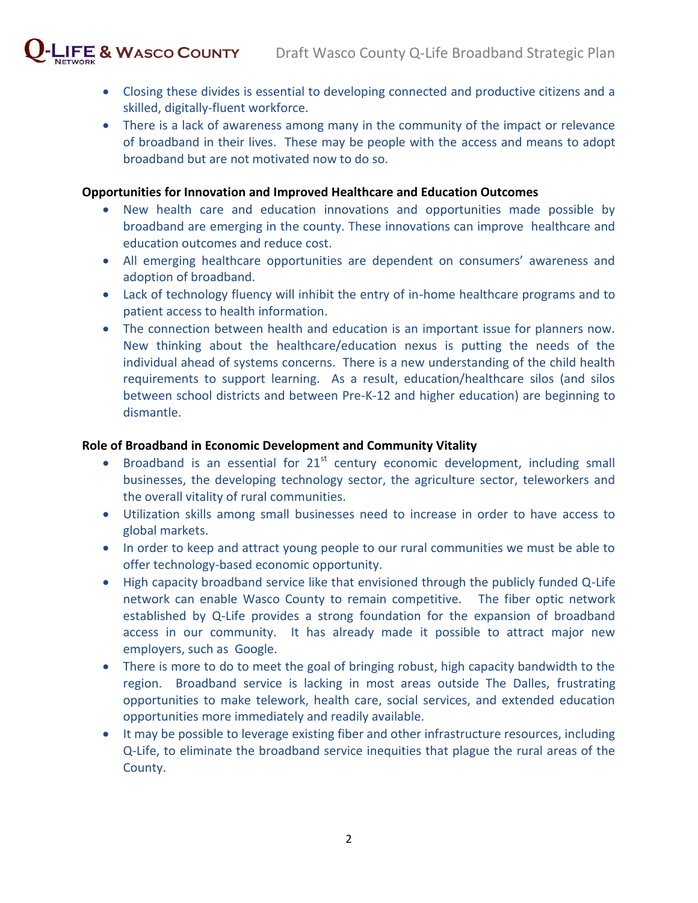- Closing these divides is essential to developing connected and productive citizens and a skilled, digitally-fluent workforce.
- There is a lack of awareness among many in the community of the impact or relevance of broadband in their lives. These may be people with the access and means to adopt broadband but are not motivated now to do so.

#### **Opportunities for Innovation and Improved Healthcare and Education Outcomes**

- New health care and education innovations and opportunities made possible by broadband are emerging in the county. These innovations can improve healthcare and education outcomes and reduce cost.
- All emerging healthcare opportunities are dependent on consumers' awareness and adoption of broadband.
- Lack of technology fluency will inhibit the entry of in-home healthcare programs and to patient access to health information.
- The connection between health and education is an important issue for planners now. New thinking about the healthcare/education nexus is putting the needs of the individual ahead of systems concerns. There is a new understanding of the child health requirements to support learning. As a result, education/healthcare silos (and silos between school districts and between Pre-K-12 and higher education) are beginning to dismantle.

#### **Role of Broadband in Economic Development and Community Vitality**

- **•** Broadband is an essential for  $21<sup>st</sup>$  century economic development, including small businesses, the developing technology sector, the agriculture sector, teleworkers and the overall vitality of rural communities.
- Utilization skills among small businesses need to increase in order to have access to global markets.
- In order to keep and attract young people to our rural communities we must be able to offer technology-based economic opportunity.
- High capacity broadband service like that envisioned through the publicly funded Q-Life network can enable Wasco County to remain competitive. The fiber optic network established by Q-Life provides a strong foundation for the expansion of broadband access in our community. It has already made it possible to attract major new employers, such as Google.
- There is more to do to meet the goal of bringing robust, high capacity bandwidth to the region. Broadband service is lacking in most areas outside The Dalles, frustrating opportunities to make telework, health care, social services, and extended education opportunities more immediately and readily available.
- It may be possible to leverage existing fiber and other infrastructure resources, including Q-Life, to eliminate the broadband service inequities that plague the rural areas of the County.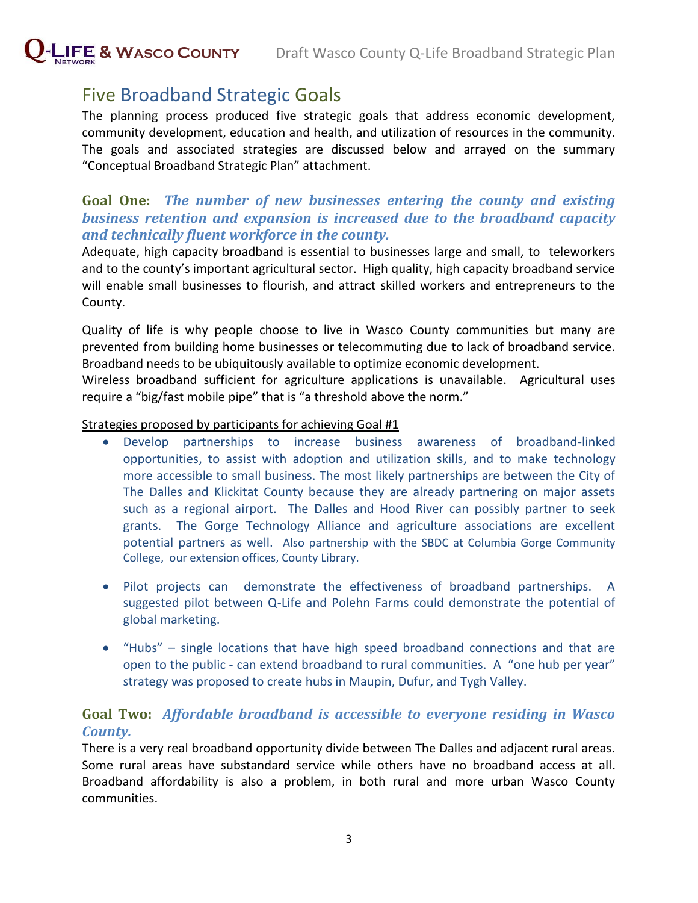

## Five Broadband Strategic Goals

The planning process produced five strategic goals that address economic development, community development, education and health, and utilization of resources in the community. The goals and associated strategies are discussed below and arrayed on the summary "Conceptual Broadband Strategic Plan" attachment.

#### **Goal One:** *The number of new businesses entering the county and existing business retention and expansion is increased due to the broadband capacity and technically fluent workforce in the county.*

Adequate, high capacity broadband is essential to businesses large and small, to teleworkers and to the county's important agricultural sector. High quality, high capacity broadband service will enable small businesses to flourish, and attract skilled workers and entrepreneurs to the County.

Quality of life is why people choose to live in Wasco County communities but many are prevented from building home businesses or telecommuting due to lack of broadband service. Broadband needs to be ubiquitously available to optimize economic development.

Wireless broadband sufficient for agriculture applications is unavailable. Agricultural uses require a "big/fast mobile pipe" that is "a threshold above the norm."

#### Strategies proposed by participants for achieving Goal #1

- Develop partnerships to increase business awareness of broadband-linked opportunities, to assist with adoption and utilization skills, and to make technology more accessible to small business. The most likely partnerships are between the City of The Dalles and Klickitat County because they are already partnering on major assets such as a regional airport. The Dalles and Hood River can possibly partner to seek grants. The Gorge Technology Alliance and agriculture associations are excellent potential partners as well. Also partnership with the SBDC at Columbia Gorge Community College, our extension offices, County Library.
- Pilot projects can demonstrate the effectiveness of broadband partnerships. A suggested pilot between Q-Life and Polehn Farms could demonstrate the potential of global marketing.
- "Hubs" single locations that have high speed broadband connections and that are open to the public - can extend broadband to rural communities. A "one hub per year" strategy was proposed to create hubs in Maupin, Dufur, and Tygh Valley.

#### **Goal Two:** *Affordable broadband is accessible to everyone residing in Wasco County.*

There is a very real broadband opportunity divide between The Dalles and adjacent rural areas. Some rural areas have substandard service while others have no broadband access at all. Broadband affordability is also a problem, in both rural and more urban Wasco County communities.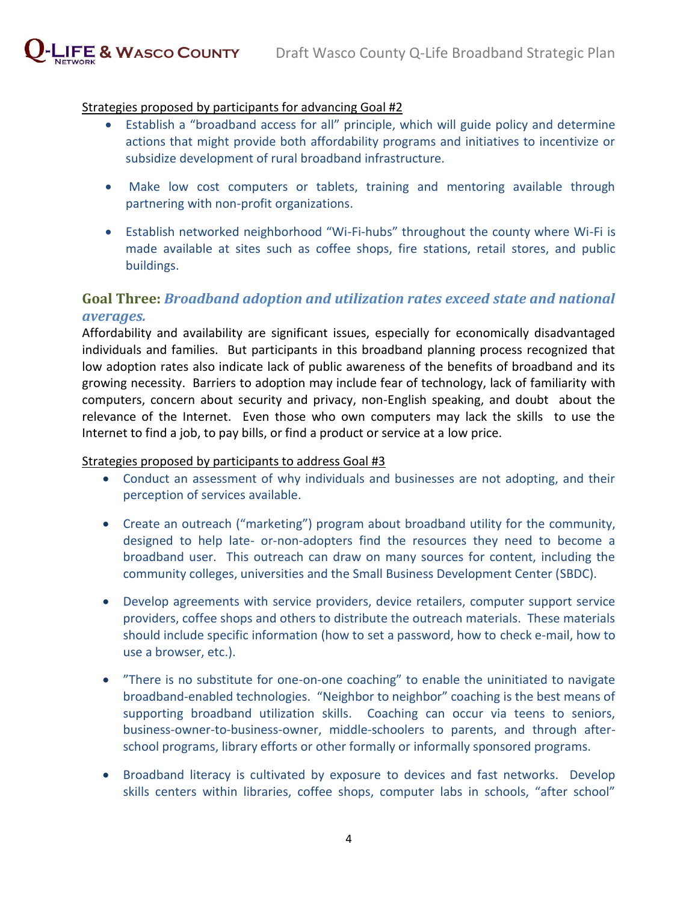

#### Strategies proposed by participants for advancing Goal #2

- Establish a "broadband access for all" principle, which will guide policy and determine actions that might provide both affordability programs and initiatives to incentivize or subsidize development of rural broadband infrastructure.
- Make low cost computers or tablets, training and mentoring available through partnering with non-profit organizations.
- Establish networked neighborhood "Wi-Fi-hubs" throughout the county where Wi-Fi is made available at sites such as coffee shops, fire stations, retail stores, and public buildings.

#### **Goal Three:** *Broadband adoption and utilization rates exceed state and national averages.*

Affordability and availability are significant issues, especially for economically disadvantaged individuals and families. But participants in this broadband planning process recognized that low adoption rates also indicate lack of public awareness of the benefits of broadband and its growing necessity. Barriers to adoption may include fear of technology, lack of familiarity with computers, concern about security and privacy, non-English speaking, and doubt about the relevance of the Internet. Even those who own computers may lack the skills to use the Internet to find a job, to pay bills, or find a product or service at a low price.

#### Strategies proposed by participants to address Goal #3

- Conduct an assessment of why individuals and businesses are not adopting, and their perception of services available.
- Create an outreach ("marketing") program about broadband utility for the community, designed to help late- or-non-adopters find the resources they need to become a broadband user. This outreach can draw on many sources for content, including the community colleges, universities and the Small Business Development Center (SBDC).
- Develop agreements with service providers, device retailers, computer support service providers, coffee shops and others to distribute the outreach materials. These materials should include specific information (how to set a password, how to check e-mail, how to use a browser, etc.).
- "There is no substitute for one-on-one coaching" to enable the uninitiated to navigate broadband-enabled technologies. "Neighbor to neighbor" coaching is the best means of supporting broadband utilization skills. Coaching can occur via teens to seniors, business-owner-to-business-owner, middle-schoolers to parents, and through afterschool programs, library efforts or other formally or informally sponsored programs.
- Broadband literacy is cultivated by exposure to devices and fast networks. Develop skills centers within libraries, coffee shops, computer labs in schools, "after school"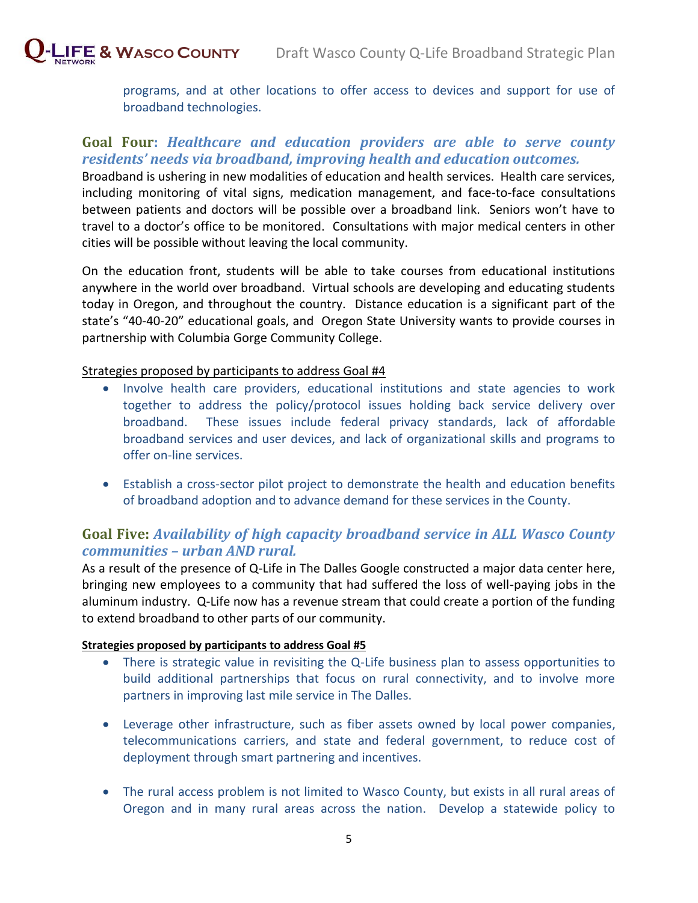programs, and at other locations to offer access to devices and support for use of broadband technologies.

#### **Goal Four:** *Healthcare and education providers are able to serve county residents' needs via broadband, improving health and education outcomes.*

Broadband is ushering in new modalities of education and health services. Health care services, including monitoring of vital signs, medication management, and face-to-face consultations between patients and doctors will be possible over a broadband link. Seniors won't have to travel to a doctor's office to be monitored. Consultations with major medical centers in other cities will be possible without leaving the local community.

On the education front, students will be able to take courses from educational institutions anywhere in the world over broadband. Virtual schools are developing and educating students today in Oregon, and throughout the country. Distance education is a significant part of the state's "40-40-20" educational goals, and Oregon State University wants to provide courses in partnership with Columbia Gorge Community College.

#### Strategies proposed by participants to address Goal #4

- Involve health care providers, educational institutions and state agencies to work together to address the policy/protocol issues holding back service delivery over broadband. These issues include federal privacy standards, lack of affordable broadband services and user devices, and lack of organizational skills and programs to offer on-line services.
- Establish a cross-sector pilot project to demonstrate the health and education benefits of broadband adoption and to advance demand for these services in the County.

#### **Goal Five:** *Availability of high capacity broadband service in ALL Wasco County communities – urban AND rural.*

As a result of the presence of Q-Life in The Dalles Google constructed a major data center here, bringing new employees to a community that had suffered the loss of well-paying jobs in the aluminum industry. Q-Life now has a revenue stream that could create a portion of the funding to extend broadband to other parts of our community.

#### **Strategies proposed by participants to address Goal #5**

- There is strategic value in revisiting the Q-Life business plan to assess opportunities to build additional partnerships that focus on rural connectivity, and to involve more partners in improving last mile service in The Dalles.
- Leverage other infrastructure, such as fiber assets owned by local power companies, telecommunications carriers, and state and federal government, to reduce cost of deployment through smart partnering and incentives.
- The rural access problem is not limited to Wasco County, but exists in all rural areas of Oregon and in many rural areas across the nation. Develop a statewide policy to